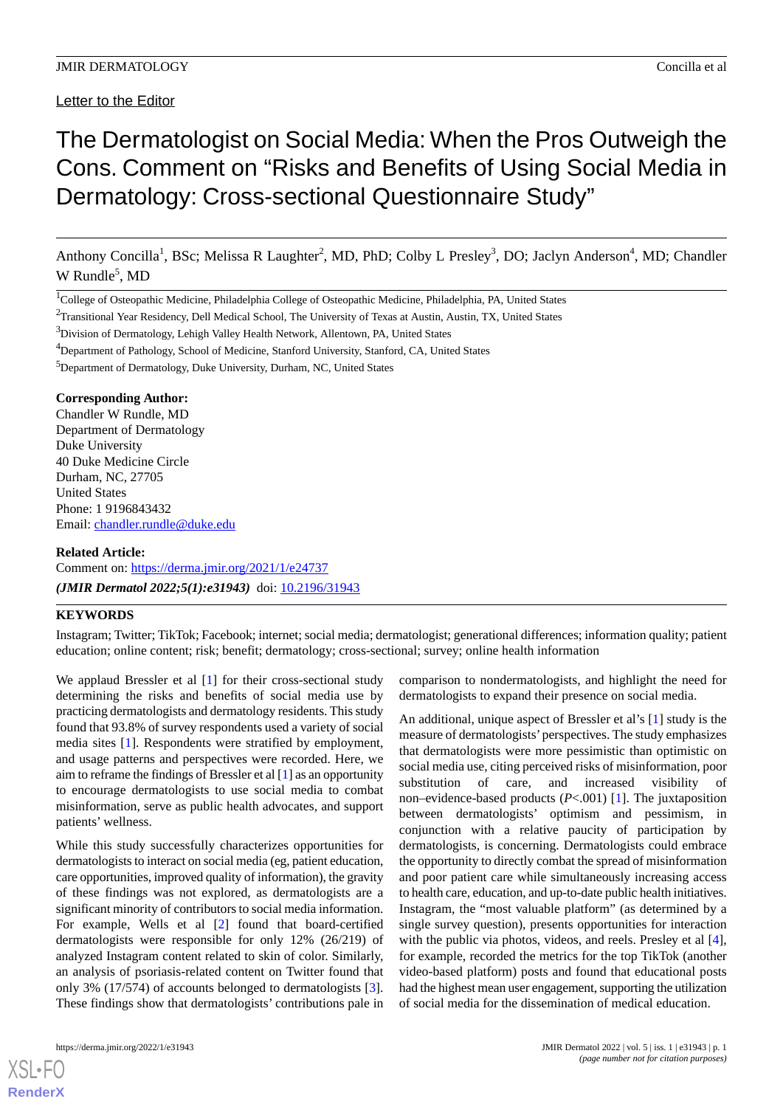Letter to the Editor

# The Dermatologist on Social Media: When the Pros Outweigh the Cons. Comment on "Risks and Benefits of Using Social Media in Dermatology: Cross-sectional Questionnaire Study"

Anthony Concilla<sup>1</sup>, BSc; Melissa R Laughter<sup>2</sup>, MD, PhD; Colby L Presley<sup>3</sup>, DO; Jaclyn Anderson<sup>4</sup>, MD; Chandler  $W$  Rundle<sup>5</sup>, MD

<sup>2</sup>Transitional Year Residency, Dell Medical School, The University of Texas at Austin, Austin, TX, United States

<sup>3</sup>Division of Dermatology, Lehigh Valley Health Network, Allentown, PA, United States

<sup>4</sup>Department of Pathology, School of Medicine, Stanford University, Stanford, CA, United States

<sup>5</sup>Department of Dermatology, Duke University, Durham, NC, United States

# **Corresponding Author:**

Chandler W Rundle, MD Department of Dermatology Duke University 40 Duke Medicine Circle Durham, NC, 27705 United States Phone: 1 9196843432 Email: [chandler.rundle@duke.edu](mailto:chandler.rundle@duke.edu)

# **Related Article:**

Comment on: <https://derma.jmir.org/2021/1/e24737> (JMIR Dermatol 2022;5(1):e31943) doi: [10.2196/31943](http://dx.doi.org/10.2196/31943)

# **KEYWORDS**

Instagram; Twitter; TikTok; Facebook; internet; social media; dermatologist; generational differences; information quality; patient education; online content; risk; benefit; dermatology; cross-sectional; survey; online health information

We applaud Bressler et al [[1\]](#page-1-0) for their cross-sectional study determining the risks and benefits of social media use by practicing dermatologists and dermatology residents. This study found that 93.8% of survey respondents used a variety of social media sites [\[1](#page-1-0)]. Respondents were stratified by employment, and usage patterns and perspectives were recorded. Here, we aim to reframe the findings of Bressler et al [\[1](#page-1-0)] as an opportunity to encourage dermatologists to use social media to combat misinformation, serve as public health advocates, and support patients' wellness.

While this study successfully characterizes opportunities for dermatologists to interact on social media (eg, patient education, care opportunities, improved quality of information), the gravity of these findings was not explored, as dermatologists are a significant minority of contributors to social media information. For example, Wells et al [[2\]](#page-1-1) found that board-certified dermatologists were responsible for only 12% (26/219) of analyzed Instagram content related to skin of color. Similarly, an analysis of psoriasis-related content on Twitter found that only 3% (17/574) of accounts belonged to dermatologists [[3\]](#page-1-2). These findings show that dermatologists' contributions pale in

[XSL](http://www.w3.org/Style/XSL)•FO **[RenderX](http://www.renderx.com/)**

comparison to nondermatologists, and highlight the need for dermatologists to expand their presence on social media.

An additional, unique aspect of Bressler et al's [\[1](#page-1-0)] study is the measure of dermatologists'perspectives. The study emphasizes that dermatologists were more pessimistic than optimistic on social media use, citing perceived risks of misinformation, poor substitution of care, and increased visibility of non–evidence-based products (*P*<.001) [[1\]](#page-1-0). The juxtaposition between dermatologists' optimism and pessimism, in conjunction with a relative paucity of participation by dermatologists, is concerning. Dermatologists could embrace the opportunity to directly combat the spread of misinformation and poor patient care while simultaneously increasing access to health care, education, and up-to-date public health initiatives. Instagram, the "most valuable platform" (as determined by a single survey question), presents opportunities for interaction with the public via photos, videos, and reels. Presley et al [[4\]](#page-1-3), for example, recorded the metrics for the top TikTok (another video-based platform) posts and found that educational posts had the highest mean user engagement, supporting the utilization of social media for the dissemination of medical education.

<sup>&</sup>lt;sup>1</sup>College of Osteopathic Medicine, Philadelphia College of Osteopathic Medicine, Philadelphia, PA, United States